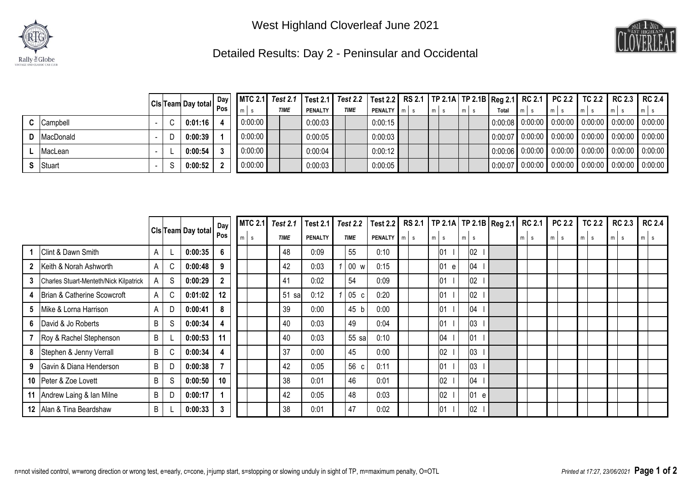

West Highland Cloverleaf June 2021



Detailed Results: Day 2 - Peninsular and Occidental

|                    |  |         |         | $\left \text{CIs} \right $ Team Day total $\left \begin{array}{c c} \text{Day} \\ \text{Pos} \end{array}\right $ $\left \begin{array}{c c} \text{MTC 2.1} \\ \text{m/s} \end{array}\right $ $\left \begin{array}{c c} \text{Test 2.1} \\ \text{THME} \end{array}\right $ $\left \begin{array}{c c} \text{Test 2.1} \\ \text{PENAITY} \end{array}\right $ $\left \begin{array}{c c} \text{RS 2.1} \\ \text{N/s} \end{array}\right $ $\left \begin{array}{c $ |         |         |  |  |                                                                                                           |  |                                                                                                         |
|--------------------|--|---------|---------|-------------------------------------------------------------------------------------------------------------------------------------------------------------------------------------------------------------------------------------------------------------------------------------------------------------------------------------------------------------------------------------------------------------------------------------------------------------|---------|---------|--|--|-----------------------------------------------------------------------------------------------------------|--|---------------------------------------------------------------------------------------------------------|
|                    |  |         |         |                                                                                                                                                                                                                                                                                                                                                                                                                                                             |         |         |  |  |                                                                                                           |  |                                                                                                         |
| <b>C</b> Campbell  |  | 0:01:16 | 0:00:00 |                                                                                                                                                                                                                                                                                                                                                                                                                                                             | 0:00:03 | 0:00:15 |  |  | $\vert 0.00.08 \vert 0.00.00 \vert 0.00.00 \vert 0.00.00 \vert 0.00.00 \vert 0.00.00 \vert 0.00.00 \vert$ |  |                                                                                                         |
| <b>D</b> MacDonald |  | 0:00:39 | 0:00:00 |                                                                                                                                                                                                                                                                                                                                                                                                                                                             | 0:00:05 | 0:00:03 |  |  |                                                                                                           |  | $\vert$ 0:00:07 $\vert$ 0:00:00 $\vert$ 0:00:00 $\vert$ 0:00:00 $\vert$ 0:00:00 $\vert$ 0:00:00 $\vert$ |
| MacLean            |  | 0:00:54 | 0:00:00 |                                                                                                                                                                                                                                                                                                                                                                                                                                                             | 0:00:04 | 0:00:12 |  |  | $\vert$ 0:00:06 $\vert$ 0:00:00 $\vert$ 0:00:00 $\vert$ 0:00:00 $\vert$ 0:00:00 $\vert$ 0:00:00 $\vert$   |  |                                                                                                         |
| <b>S</b> Stuart    |  | 0:00:52 | 0:00:00 |                                                                                                                                                                                                                                                                                                                                                                                                                                                             | 0:00:03 | 0:00:05 |  |  |                                                                                                           |  |                                                                                                         |

|                 |                                        |   |              |                           | Day | <b>MTC 2.1</b> | <b>Test 2.1</b> | <b>Test 2.1</b> | Test $2.2$      | Test 2.2 RS 2.1   TP 2.1A   TP 2.1B   Reg 2.1 |  |            |       |      |       | <b>RC 2.1</b> | <b>PC 2.2</b> | <b>TC 2.2</b> | <b>RC 2.3</b> | <b>RC 2.4</b>                 |
|-----------------|----------------------------------------|---|--------------|---------------------------|-----|----------------|-----------------|-----------------|-----------------|-----------------------------------------------|--|------------|-------|------|-------|---------------|---------------|---------------|---------------|-------------------------------|
|                 |                                        |   |              | <b>CIs Team Day total</b> | Pos | m<br>s.        | <b>TIME</b>     | <b>PENALTY</b>  | <b>TIME</b>     | <b>PENALTY</b> m s                            |  | $m \mid s$ | $m$ s |      | $m$ s |               | $m$ s         | $m$ s         | $m$ s         | m<br>$\overline{\phantom{a}}$ |
|                 | Clint & Dawn Smith                     | A |              | 0:00:35                   | 6   |                | 48              | 0:09            | 55              | 0:10                                          |  | 01         |       | 02   |       |               |               |               |               |                               |
| 2               | Keith & Norah Ashworth                 | Α | C            | 0:00:48                   | 9   |                | 42              | 0:03            | 00 w            | 0:15                                          |  | 01<br>e    |       | 04   |       |               |               |               |               |                               |
| 3               | Charles Stuart-Menteth/Nick Kilpatrick | Α | S            | 0:00:29                   | 2   |                | 41              | 0:02            | 54              | 0:09                                          |  | 01         |       | 02   |       |               |               |               |               |                               |
|                 | Brian & Catherine Scowcroft            | A | C            | 0:01:02                   | 12  |                | 51<br>sal       | 0:12            | 05 <sub>c</sub> | 0:20                                          |  | 01         |       | 02   |       |               |               |               |               |                               |
| 5               | Mike & Lorna Harrison                  | Α | $\mathsf{D}$ | 0:00:41                   | 8   |                | 39              | 0:00            | 45 b            | 0:00                                          |  | 01         |       | 04   |       |               |               |               |               |                               |
| 6               | David & Jo Roberts                     | B | S            | 0:00:34                   | 4   |                | 40              | 0:03            | 49              | 0:04                                          |  | 01         |       | 03   |       |               |               |               |               |                               |
|                 | Roy & Rachel Stephenson                | B |              | 0:00:53                   | 11  |                | 40              | 0:03            | 55 sa           | 0:10                                          |  | 04         |       | 01   |       |               |               |               |               |                               |
| 8               | Stephen & Jenny Verrall                | B |              | 0:00:34                   |     |                | 37              | 0:00            | 45              | 0:00                                          |  | 02         |       | 03   |       |               |               |               |               |                               |
| 9               | Gavin & Diana Henderson                | B | D            | 0:00:38                   |     |                | 42              | 0:05            | 56 c            | 0:11                                          |  | 01         |       | 03   |       |               |               |               |               |                               |
| 10 <sup>1</sup> | Peter & Zoe Lovett                     | B | S            | 0:00:50                   | 10  |                | 38              | 0:01            | 46              | 0:01                                          |  | 02         |       | 04   |       |               |               |               |               |                               |
|                 | 11 Andrew Laing & Ian Milne            | B | D            | 0:00:17                   |     |                | 42              | 0:05            | 48              | 0:03                                          |  | 02         |       | 01 e |       |               |               |               |               |                               |
| 12 <sup>1</sup> | Alan & Tina Beardshaw                  | B |              | 0:00:33                   | 3   |                | 38              | 0:01            | 47              | 0:02                                          |  | 01         |       | 02   |       |               |               |               |               |                               |